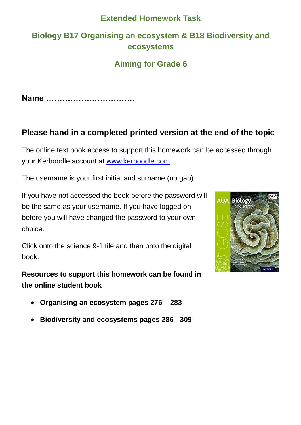### **Extended Homework Task**

## **Biology B17 Organising an ecosystem & B18 Biodiversity and ecosystems**

## **Aiming for Grade 6**

**Name ……………………………**

### **Please hand in a completed printed version at the end of the topic**

The online text book access to support this homework can be accessed through your Kerboodle account at [www.kerboodle.com.](http://www.kerboodle.com/)

The username is your first initial and surname (no gap).

If you have not accessed the book before the password will be the same as your username. If you have logged on before you will have changed the password to your own choice.

Click onto the science 9-1 tile and then onto the digital book.

**Resources to support this homework can be found in the online student book** 



**Biodiversity and ecosystems pages 286 - 309**

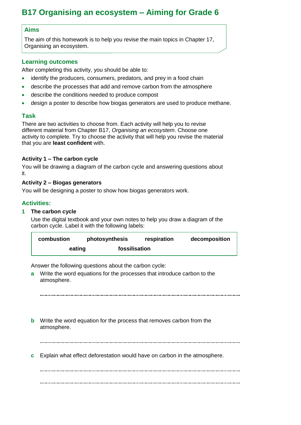### **B17 Organising an ecosystem – Aiming for Grade 6**

#### **Aims**

The aim of this homework is to help you revise the main topics in Chapter 17, Organising an ecosystem.

#### **Learning outcomes**

After completing this activity, you should be able to:

- identify the producers, consumers, predators, and prey in a food chain
- describe the processes that add and remove carbon from the atmosphere
- describe the conditions needed to produce compost
- design a poster to describe how biogas generators are used to produce methane.

#### **Task**

There are two activities to choose from. Each activity will help you to revise different material from Chapter B17, *Organising an ecosystem*. Choose one activity to complete. Try to choose the activity that will help you revise the material that you are **least confident** with.

#### **Activity 1 – The carbon cycle**

You will be drawing a diagram of the carbon cycle and answering questions about it.

#### **Activity 2 – Biogas generators**

You will be designing a poster to show how biogas generators work.

#### **Activities:**

**1 The carbon cycle**

Use the digital textbook and your own notes to help you draw a diagram of the carbon cycle. Label it with the following labels:

| combustion              | photosynthesis | respiration | decomposition |
|-------------------------|----------------|-------------|---------------|
| fossilisation<br>eating |                |             |               |

Answer the following questions about the carbon cycle:

**a** Write the word equations for the processes that introduce carbon to the atmosphere.

**b** Write the word equation for the process that removes carbon from the atmosphere.

**c** Explain what effect deforestation would have on carbon in the atmosphere.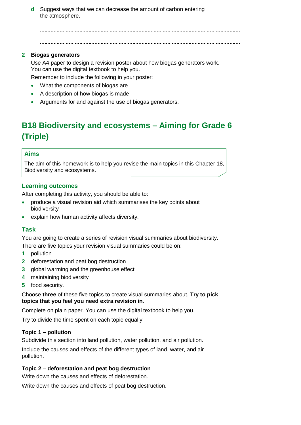**d** Suggest ways that we can decrease the amount of carbon entering the atmosphere.

#### **2 Biogas generators**

Use A4 paper to design a revision poster about how biogas generators work. You can use the digital textbook to help you.

Remember to include the following in your poster:

- What the components of biogas are
- A description of how biogas is made
- Arguments for and against the use of biogas generators.

# **B18 Biodiversity and ecosystems – Aiming for Grade 6 (Triple)**

#### **Aims**

The aim of this homework is to help you revise the main topics in this Chapter 18, Biodiversity and ecosystems.

#### **Learning outcomes**

After completing this activity, you should be able to:

- produce a visual revision aid which summarises the key points about biodiversity
- explain how human activity affects diversity.

### **Task**

You are going to create a series of revision visual summaries about biodiversity. There are five topics your revision visual summaries could be on:

- **1** pollution
- **2** deforestation and peat bog destruction
- **3** global warming and the greenhouse effect
- **4** maintaining biodiversity
- **5** food security.

Choose **three** of these five topics to create visual summaries about. **Try to pick topics that you feel you need extra revision in**.

Complete on plain paper. You can use the digital textbook to help you.

Try to divide the time spent on each topic equally

#### **Topic 1 – pollution**

Subdivide this section into land pollution, water pollution, and air pollution.

Include the causes and effects of the different types of land, water, and air pollution.

#### **Topic 2 – deforestation and peat bog destruction**

Write down the causes and effects of deforestation.

Write down the causes and effects of peat bog destruction.